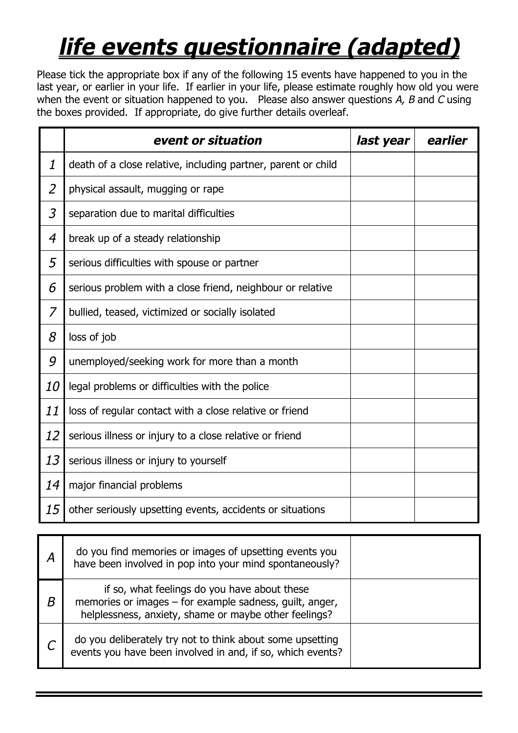## *life events questionnaire (adapted)*

Please tick the appropriate box if any of the following 15 events have happened to you in the last year, or earlier in your life. If earlier in your life, please estimate roughly how old you were when the event or situation happened to you. Please also answer questions *A, B* and *C* using the boxes provided. If appropriate, do give further details overleaf.

|                | event or situation                                            | last year | earlier |
|----------------|---------------------------------------------------------------|-----------|---------|
| 1              | death of a close relative, including partner, parent or child |           |         |
| $\overline{2}$ | physical assault, mugging or rape                             |           |         |
| 3              | separation due to marital difficulties                        |           |         |
| 4              | break up of a steady relationship                             |           |         |
| 5              | serious difficulties with spouse or partner                   |           |         |
| 6              | serious problem with a close friend, neighbour or relative    |           |         |
| 7              | bullied, teased, victimized or socially isolated              |           |         |
| 8              | loss of job                                                   |           |         |
| 9              | unemployed/seeking work for more than a month                 |           |         |
| <i>10</i>      | legal problems or difficulties with the police                |           |         |
| 11             | loss of regular contact with a close relative or friend       |           |         |
| 12             | serious illness or injury to a close relative or friend       |           |         |
| 13             | serious illness or injury to yourself                         |           |         |
| 14             | major financial problems                                      |           |         |
| 15             | other seriously upsetting events, accidents or situations     |           |         |

|   | do you find memories or images of upsetting events you<br>have been involved in pop into your mind spontaneously?                                                |  |
|---|------------------------------------------------------------------------------------------------------------------------------------------------------------------|--|
| Β | if so, what feelings do you have about these<br>memories or images – for example sadness, guilt, anger,<br>helplessness, anxiety, shame or maybe other feelings? |  |
|   | do you deliberately try not to think about some upsetting<br>events you have been involved in and, if so, which events?                                          |  |